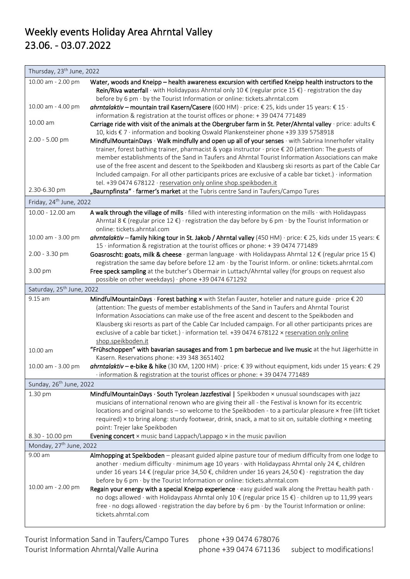| Thursday, 23 <sup>th</sup> June, 2022                                                        |                                                                                                                                                                                                                |  |
|----------------------------------------------------------------------------------------------|----------------------------------------------------------------------------------------------------------------------------------------------------------------------------------------------------------------|--|
| 10.00 am - 2.00 pm                                                                           | Water, woods and Kneipp - health awareness excursion with certified Kneipp health instructors to the                                                                                                           |  |
|                                                                                              | Rein/Riva waterfall $\cdot$ with Holidaypass Ahrntal only 10 $\epsilon$ (regular price 15 $\epsilon$ ) $\cdot$ registration the day                                                                            |  |
|                                                                                              | before by 6 pm · by the Tourist Information or online: tickets.ahrntal.com                                                                                                                                     |  |
| 10.00 am - 4.00 pm                                                                           | ahrntalaktiv – mountain trail Kasern/Casere (600 HM) · price: € 25, kids under 15 years: € 15 ·                                                                                                                |  |
| 10.00 am                                                                                     | information & registration at the tourist offices or phone: +39 0474 771489                                                                                                                                    |  |
|                                                                                              | Carriage ride with visit of the animals at the Obergruber farm in St. Peter/Ahrntal valley $\cdot$ price: adults $\epsilon$                                                                                    |  |
| 2.00 - 5.00 pm                                                                               | 10, kids € 7 · information and booking Oswald Plankensteiner phone +39 339 5758918                                                                                                                             |  |
|                                                                                              | MindfulMountainDays · Walk mindfully and open up all of your senses · with Sabrina Innerhofer vitality<br>trainer, forest bathing trainer, pharmacist & yoga instructor · price € 20 (attention: The guests of |  |
|                                                                                              | member establishments of the Sand in Taufers and Ahrntal Tourist Information Associations can make                                                                                                             |  |
|                                                                                              | use of the free ascent and descent to the Speikboden and Klausberg ski resorts as part of the Cable Car                                                                                                        |  |
|                                                                                              | Included campaign. For all other participants prices are exclusive of a cable bar ticket.) · information                                                                                                       |  |
|                                                                                              | tel. +39 0474 678122 · reservation only online shop.speikboden.it                                                                                                                                              |  |
| 2.30-6.30 pm                                                                                 | "Baurnpfinsta" · farmer's market at the Tubris centre Sand in Taufers/Campo Tures                                                                                                                              |  |
| Friday, 24 <sup>th</sup> June, 2022                                                          |                                                                                                                                                                                                                |  |
| 10.00 - 12.00 am                                                                             | A walk through the village of mills · filled with interesting information on the mills · with Holidaypass                                                                                                      |  |
|                                                                                              | Ahrntal 8 $\epsilon$ (regular price 12 $\epsilon$ ) · registration the day before by 6 pm $\cdot$ by the Tourist Information or                                                                                |  |
|                                                                                              | online: tickets.ahrntal.com                                                                                                                                                                                    |  |
| 10.00 am - 3.00 pm                                                                           | ahrntalaktiv – family hiking tour in St. Jakob / Ahrntal valley (450 HM) · price: € 25, kids under 15 years: €                                                                                                 |  |
|                                                                                              | 15 · information & registration at the tourist offices or phone: +39 0474 771489                                                                                                                               |  |
| 2.00 - 3.30 pm                                                                               | Goasroscht: goats, milk & cheese · german language · with Holidaypass Ahrntal 12 € (regular price 15 €)                                                                                                        |  |
|                                                                                              | registration the same day before before 12 am $\cdot$ by the Tourist Inform. or online: tickets.ahrntal.com                                                                                                    |  |
| 3.00 pm                                                                                      | Free speck sampling at the butcher's Obermair in Luttach/Ahrntal valley (for groups on request also                                                                                                            |  |
| possible on other weekdays) · phone +39 0474 671292<br>Saturday, 25 <sup>th</sup> June, 2022 |                                                                                                                                                                                                                |  |
| 9.15 am                                                                                      | MindfulMountainDays · Forest bathing $\times$ with Stefan Fauster, hotelier and nature guide · price $\epsilon$ 20                                                                                             |  |
|                                                                                              | (attention: The guests of member establishments of the Sand in Taufers and Ahrntal Tourist                                                                                                                     |  |
|                                                                                              | Information Associations can make use of the free ascent and descent to the Speikboden and                                                                                                                     |  |
|                                                                                              | Klausberg ski resorts as part of the Cable Car Included campaign. For all other participants prices are                                                                                                        |  |
|                                                                                              | exclusive of a cable bar ticket.) · information tel. +39 0474 678122 x reservation only online                                                                                                                 |  |
|                                                                                              | shop.speikboden.it                                                                                                                                                                                             |  |
| 10.00 am                                                                                     | "Frühschoppen" with bavarian sausages and from 1 pm barbecue and live music at the hut Jägerhütte in<br>Kasern. Reservations phone: +39 348 3651402                                                            |  |
| 10.00 am - 3.00 pm                                                                           | ahrntalaktiv - e-bike & hike (30 KM, 1200 HM) · price: €39 without equipment, kids under 15 years: € 29                                                                                                        |  |
|                                                                                              | information & registration at the tourist offices or phone: +39 0474 771489                                                                                                                                    |  |
| Sunday, 26 <sup>th</sup> June, 2022                                                          |                                                                                                                                                                                                                |  |
| 1.30 pm                                                                                      | MindfulMountainDays · South Tyrolean Jazzfestival   Speikboden × unusual soundscapes with jazz                                                                                                                 |  |
|                                                                                              | musicians of international renown who are giving their all - the Festival is known for its eccentric                                                                                                           |  |
|                                                                                              | locations and original bands - so welcome to the Speikboden - to a particular pleasure x free (lift ticket                                                                                                     |  |
|                                                                                              | required) x to bring along: sturdy footwear, drink, snack, a mat to sit on, suitable clothing x meeting                                                                                                        |  |
| 8.30 - 10.00 pm                                                                              | point: Trejer lake Speikboden<br>Evening concert $\times$ music band Lappach/Lappago $\times$ in the music pavilion                                                                                            |  |
| Monday, 27 <sup>th</sup> June, 2022                                                          |                                                                                                                                                                                                                |  |
| 9.00 am                                                                                      | Almhopping at Speikboden - pleasant guided alpine pasture tour of medium difficulty from one lodge to                                                                                                          |  |
|                                                                                              | another $\cdot$ medium difficulty $\cdot$ minimum age 10 years $\cdot$ with Holidaypass Ahrntal only 24 $\xi$ , children                                                                                       |  |
|                                                                                              | under 16 years 14 € (regular price 34,50 €, children under 16 years 24,50 €) · registration the day                                                                                                            |  |
|                                                                                              | before by 6 pm · by the Tourist Information or online: tickets.ahrntal.com                                                                                                                                     |  |
| 10.00 am - 2.00 pm                                                                           | Regain your energy with a special Kneipp experience $\cdot$ easy guided walk along the Prettau health path $\cdot$                                                                                             |  |
|                                                                                              | no dogs allowed · with Holidaypass Ahrntal only 10 € (regular price 15 €) · children up to 11,99 years                                                                                                         |  |
|                                                                                              | free · no dogs allowed · registration the day before by 6 pm · by the Tourist Information or online:                                                                                                           |  |
|                                                                                              | tickets.ahrntal.com                                                                                                                                                                                            |  |
|                                                                                              |                                                                                                                                                                                                                |  |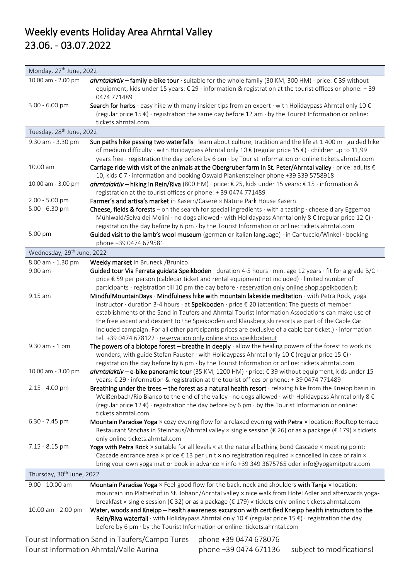| Monday, 27 <sup>th</sup> June, 2022    |                                                                                                                                                                                                                                                                                                                                        |  |
|----------------------------------------|----------------------------------------------------------------------------------------------------------------------------------------------------------------------------------------------------------------------------------------------------------------------------------------------------------------------------------------|--|
| 10.00 am - 2.00 pm                     | ahrntalaktiv – family e-bike tour · suitable for the whole family (30 KM, 300 HM) · price: € 39 without<br>equipment, kids under 15 years: € 29 · information & registration at the tourist offices or phone: +39<br>0474 771489                                                                                                       |  |
| 3.00 - 6.00 pm                         | Search for herbs $\cdot$ easy hike with many insider tips from an expert $\cdot$ with Holidaypass Ahrntal only 10 $\epsilon$<br>(regular price $15 \epsilon$ ) · registration the same day before 12 am $\cdot$ by the Tourist Information or online:<br>tickets.ahrntal.com                                                           |  |
| Tuesday, 28 <sup>th</sup> June, 2022   |                                                                                                                                                                                                                                                                                                                                        |  |
| 9.30 am - 3.30 pm                      | Sun paths hike passing two waterfalls $\cdot$ learn about culture, tradition and the life at 1.400 m $\cdot$ guided hike                                                                                                                                                                                                               |  |
|                                        | of medium difficulty · with Holidaypass Ahrntal only 10 € (regular price 15 €) · children up to 11,99                                                                                                                                                                                                                                  |  |
|                                        | years free · registration the day before by 6 pm · by Tourist Information or online tickets.ahrntal.com                                                                                                                                                                                                                                |  |
| 10.00 am                               | Carriage ride with visit of the animals at the Obergruber farm in St. Peter/Ahrntal valley $\cdot$ price: adults $\epsilon$<br>10, kids € 7 · information and booking Oswald Plankensteiner phone +39 339 5758918                                                                                                                      |  |
| 10.00 am - 3.00 pm                     | <b>ahrntalaktiv</b> - hiking in Rein/Riva (800 HM) · price: € 25, kids under 15 years: € 15 · information &                                                                                                                                                                                                                            |  |
|                                        | registration at the tourist offices or phone: +39 0474 771489                                                                                                                                                                                                                                                                          |  |
| 2.00 - 5.00 pm                         | Farmer's and artisa's market in Kasern/Casere x Nature Park House Kasern                                                                                                                                                                                                                                                               |  |
| $5.00 - 6.30$ pm                       | <b>Cheese, fields &amp; forests</b> – on the search for special ingredients $\cdot$ with a tasting $\cdot$ cheese diary Eggemoa                                                                                                                                                                                                        |  |
|                                        | Mühlwald/Selva dei Molini · no dogs allowed · with Holidaypass Ahrntal only 8 $\epsilon$ (regular price 12 $\epsilon$ ) ·<br>registration the day before by 6 pm $\cdot$ by the Tourist Information or online: tickets.ahrntal.com                                                                                                     |  |
| 5.00 pm                                | Guided visit to the lamb's wool museum (german or italian language) · in Cantuccio/Winkel · booking                                                                                                                                                                                                                                    |  |
|                                        | phone +39 0474 679581                                                                                                                                                                                                                                                                                                                  |  |
| Wednesday, 29 <sup>th</sup> June, 2022 |                                                                                                                                                                                                                                                                                                                                        |  |
| 8.00 am - 1.30 pm                      | Weekly market in Bruneck / Brunico                                                                                                                                                                                                                                                                                                     |  |
| 9.00 am                                | Guided tour Via Ferrata guidata Speikboden $\cdot$ duration 4-5 hours $\cdot$ min. age 12 years $\cdot$ fit for a grade B/C $\cdot$                                                                                                                                                                                                    |  |
|                                        | price € 59 per person (cablecar ticket and rental equipment not included) · limited number of                                                                                                                                                                                                                                          |  |
|                                        | participants · registration till 10 pm the day before · reservation only online shop.speikboden.it                                                                                                                                                                                                                                     |  |
| 9.15 am                                | MindfulMountainDays · Mindfulness hike with mountain lakeside meditation · with Petra Röck, yoga<br>instructor · duration 3-4 hours · at Speikboden · price € 20 (attention: The guests of member                                                                                                                                      |  |
|                                        | establishments of the Sand in Taufers and Ahrntal Tourist Information Associations can make use of                                                                                                                                                                                                                                     |  |
|                                        | the free ascent and descent to the Speikboden and Klausberg ski resorts as part of the Cable Car                                                                                                                                                                                                                                       |  |
|                                        | Included campaign. For all other participants prices are exclusive of a cable bar ticket.) · information                                                                                                                                                                                                                               |  |
|                                        | tel. +39 0474 678122 · reservation only online shop.speikboden.it                                                                                                                                                                                                                                                                      |  |
| 9.30 am - 1 pm                         | The powers of a biotope forest $-$ breathe in deeply $\cdot$ allow the healing powers of the forest to work its<br>wonders, with guide Stefan Fauster $\cdot$ with Holidaypass Ahrntal only 10 € (regular price 15 €) $\cdot$<br>registration the day before by 6 pm $\cdot$ by the Tourist Information or online: tickets.ahrntal.com |  |
| 10.00 am - 3.00 pm                     | <b>ahrntalaktiv – e-bike panoramic tour</b> (35 KM, 1200 HM) · price: € 39 without equipment, kids under 15<br>years: € 29 · information & registration at the tourist offices or phone: +39 0474 771489                                                                                                                               |  |
| 2.15 - 4.00 pm                         | Breathing under the trees - the forest as a natural health resort · relaxing hike from the Kneipp basin in                                                                                                                                                                                                                             |  |
|                                        | Weißenbach/Rio Bianco to the end of the valley $\cdot$ no dogs allowed $\cdot$ with Holidaypass Ahrntal only 8 $\epsilon$                                                                                                                                                                                                              |  |
|                                        | (regular price 12 $\epsilon$ ) · registration the day before by 6 pm $\cdot$ by the Tourist Information or online:<br>tickets.ahrntal.com                                                                                                                                                                                              |  |
| 6.30 - 7.45 pm                         | Mountain Paradise Yoga x cozy evening flow for a relaxed evening with Petra x location: Rooftop terrace                                                                                                                                                                                                                                |  |
|                                        | Restaurant Stochas in Steinhaus/Ahrntal valley × single session (€ 26) or as a package (€ 179) × tickets                                                                                                                                                                                                                               |  |
| 7.15 - 8.15 pm                         | only online tickets.ahrntal.com<br>Yoga with Petra Röck x suitable for all levels x at the natural bathing bond Cascade x meeting point:                                                                                                                                                                                               |  |
|                                        | Cascade entrance area $x$ price $\epsilon$ 13 per unit $x$ no registration required $x$ cancelled in case of rain $x$                                                                                                                                                                                                                  |  |
|                                        | bring your own yoga mat or book in advance x info +39 349 3675765 oder info@yogamitpetra.com                                                                                                                                                                                                                                           |  |
| Thursday, 30 <sup>th</sup> June, 2022  |                                                                                                                                                                                                                                                                                                                                        |  |
| 9.00 - 10.00 am                        | Mountain Paradise Yoga × Feel-good flow for the back, neck and shoulders with Tanja × location:                                                                                                                                                                                                                                        |  |
|                                        | mountain inn Platterhof in St. Johann/Ahrntal valley x nice walk from Hotel Adler and afterwards yoga-                                                                                                                                                                                                                                 |  |
|                                        | breakfast x single session ( $\epsilon$ 32) or as a package ( $\epsilon$ 179) x tickets only online tickets.ahrntal.com                                                                                                                                                                                                                |  |
| 10.00 am - 2.00 pm                     | Water, woods and Kneipp - health awareness excursion with certified Kneipp health instructors to the<br>Rein/Riva waterfall · with Holidaypass Ahrntal only 10 $\epsilon$ (regular price 15 $\epsilon$ ) · registration the day<br>before by 6 pm · by the Tourist Information or online: tickets.ahrntal.com                          |  |
|                                        |                                                                                                                                                                                                                                                                                                                                        |  |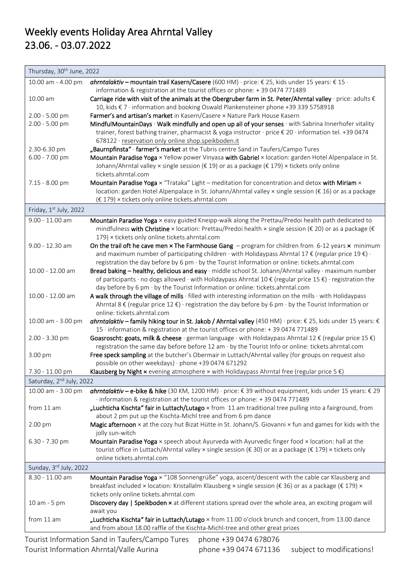| Thursday, 30 <sup>th</sup> June, 2022                                    |                                                                                                                                                                                                                                              |  |
|--------------------------------------------------------------------------|----------------------------------------------------------------------------------------------------------------------------------------------------------------------------------------------------------------------------------------------|--|
| 10.00 am - 4.00 pm                                                       | ahrntalaktiv - mountain trail Kasern/Casere (600 HM) · price: € 25, kids under 15 years: € 15 ·<br>information & registration at the tourist offices or phone: +39 0474 771489                                                               |  |
| 10.00 am                                                                 | Carriage ride with visit of the animals at the Obergruber farm in St. Peter/Ahrntal valley $\cdot$ price: adults $\epsilon$<br>10, kids € 7 · information and booking Oswald Plankensteiner phone +39 339 5758918                            |  |
| 2.00 - 5.00 pm                                                           | Farmer's and artisan's market in Kasern/Casere x Nature Park House Kasern                                                                                                                                                                    |  |
| 2.00 - 5.00 pm                                                           | MindfulMountainDays · Walk mindfully and open up all of your senses · with Sabrina Innerhofer vitality                                                                                                                                       |  |
|                                                                          | trainer, forest bathing trainer, pharmacist & yoga instructor · price € 20 · information tel. +39 0474                                                                                                                                       |  |
|                                                                          | 678122 · reservation only online shop.speikboden.it                                                                                                                                                                                          |  |
| 2.30-6.30 pm                                                             | "Baurnpfinsta" · farmer's market at the Tubris centre Sand in Taufers/Campo Tures                                                                                                                                                            |  |
| 6.00 - 7.00 pm                                                           | Mountain Paradise Yoga x Yellow power Vinyasa with Gabriel x location: garden Hotel Alpenpalace in St.<br>Johann/Ahrntal valley x single session (€ 19) or as a package (€ 179) x tickets only online<br>tickets.ahrntal.com                 |  |
| 7.15 - 8.00 pm                                                           | Mountain Paradise Yoga × "Trataka" Light - meditation for concentration and detox with Miriam ×                                                                                                                                              |  |
|                                                                          | location: garden Hotel Alpenpalace in St. Johann/Ahrntal valley × single session (€ 16) or as a package                                                                                                                                      |  |
|                                                                          | (€ 179) × tickets only online tickets.ahrntal.com                                                                                                                                                                                            |  |
| Friday, 1st July, 2022                                                   |                                                                                                                                                                                                                                              |  |
| 9.00 - 11.00 am                                                          | Mountain Paradise Yoga x easy guided Kneipp-walk along the Prettau/Predoi health path dedicated to                                                                                                                                           |  |
|                                                                          | mindfulness with Christine x location: Prettau/Predoi health x single session (€ 20) or as a package (€<br>179) × tickets only online tickets.ahrntal.com                                                                                    |  |
| 9.00 - 12.30 am                                                          | On the trail oft he cave men x The Farmhouse Gang - program for children from 6-12 years x minimum                                                                                                                                           |  |
|                                                                          | and maximum number of participating children $\cdot$ with Holidaypass Ahrntal 17 $\epsilon$ (regular price 19 $\epsilon$ ) $\cdot$                                                                                                           |  |
|                                                                          | registration the day before by 6 pm $\cdot$ by the Tourist Information or online: tickets.ahrntal.com                                                                                                                                        |  |
| 10.00 - 12.00 am                                                         | Bread baking - healthy, delicious and easy · middle school St. Johann/Ahrntal valley · maximum number                                                                                                                                        |  |
|                                                                          | of participants $\cdot$ no dogs allowed $\cdot$ with Holidaypass Ahrntal 10 € (regular price 15 €) $\cdot$ registration the                                                                                                                  |  |
|                                                                          | day before by 6 pm · by the Tourist Information or online: tickets.ahrntal.com                                                                                                                                                               |  |
| 10.00 - 12.00 am                                                         | A walk through the village of mills · filled with interesting information on the mills · with Holidaypass<br>Ahrntal 8 $\epsilon$ (regular price 12 $\epsilon$ ) · registration the day before by 6 pm $\cdot$ by the Tourist Information or |  |
|                                                                          | online: tickets.ahrntal.com                                                                                                                                                                                                                  |  |
| 10.00 am - 3.00 pm                                                       | ahrntalaktiv – family hiking tour in St. Jakob / Ahrntal valley (450 HM) · price: € 25, kids under 15 years: €<br>15 · information & registration at the tourist offices or phone: +39 0474 771489                                           |  |
| 2.00 - 3.30 pm                                                           | Goasroscht: goats, milk & cheese · german language · with Holidaypass Ahrntal 12 € (regular price 15 €)                                                                                                                                      |  |
|                                                                          | registration the same day before before 12 am $\cdot$ by the Tourist Info or online: tickets.ahrntal.com                                                                                                                                     |  |
| 3.00 pm                                                                  | Free speck sampling at the butcher's Obermair in Luttach/Ahrntal valley (for groups on request also                                                                                                                                          |  |
|                                                                          | possible on other weekdays) · phone +39 0474 671292                                                                                                                                                                                          |  |
| 7.30 - 11.00 pm                                                          | Klausberg by Night $x$ evening atmosphere $x$ with Holidaypass Ahrntal free (regular price 5 $\xi$ )                                                                                                                                         |  |
| Saturday, 2 <sup>nd</sup> July, 2022                                     |                                                                                                                                                                                                                                              |  |
| 10.00 am - 3.00 pm                                                       | ahrntalaktiv - e-bike & hike (30 KM, 1200 HM) · price: €39 without equipment, kids under 15 years: € 29                                                                                                                                      |  |
|                                                                          | · information & registration at the tourist offices or phone: +39 0474 771489<br>"Luchticha Kischta" fair in Luttach/Lutago x from 11 am traditional tree pulling into a fairground, from                                                    |  |
| from 11 am                                                               | about 2 pm put up the Kischta-Michl tree and from 6 pm dance                                                                                                                                                                                 |  |
| 2.00 pm                                                                  | Magic afternoon x at the cozy hut Bizat Hütte in St. Johann/S. Giovanni x fun and games for kids with the                                                                                                                                    |  |
|                                                                          | jolly sun-witch                                                                                                                                                                                                                              |  |
| 6.30 - 7.30 pm                                                           | Mountain Paradise Yoga x speech about Ayurveda with Ayurvedic finger food x location: hall at the                                                                                                                                            |  |
|                                                                          | tourist office in Luttach/Ahrntal valley × single session (€ 30) or as a package (€ 179) × tickets only                                                                                                                                      |  |
|                                                                          | online tickets.ahrntal.com                                                                                                                                                                                                                   |  |
| Sunday, 3rd July, 2022                                                   |                                                                                                                                                                                                                                              |  |
| 8.30 - 11.00 am                                                          | Mountain Paradise Yoga x "108 Sonnengrüße" yoga, ascent/descent with the cable car Klausberg and                                                                                                                                             |  |
|                                                                          | breakfast included × location: Kristallalm Klausberg × single session (€ 36) or as a package (€ 179) ×                                                                                                                                       |  |
|                                                                          | tickets only online tickets.ahrntal.com                                                                                                                                                                                                      |  |
| 10 am - 5 pm                                                             | Discovery day   Speikboden x at different stations spread over the whole area, an exciting progam will                                                                                                                                       |  |
|                                                                          | await you                                                                                                                                                                                                                                    |  |
| from 11 am                                                               | "Luchticha Kischta" fair in Luttach/Lutago × from 11.00 o'clock brunch and concert, from 13.00 dance<br>and from about 18.00 raffle of the Kischta-Michl-tree and other great prizes                                                         |  |
| Tourist Information Sand in Taufers/Campo Tures<br>phone +39 0474 678076 |                                                                                                                                                                                                                                              |  |